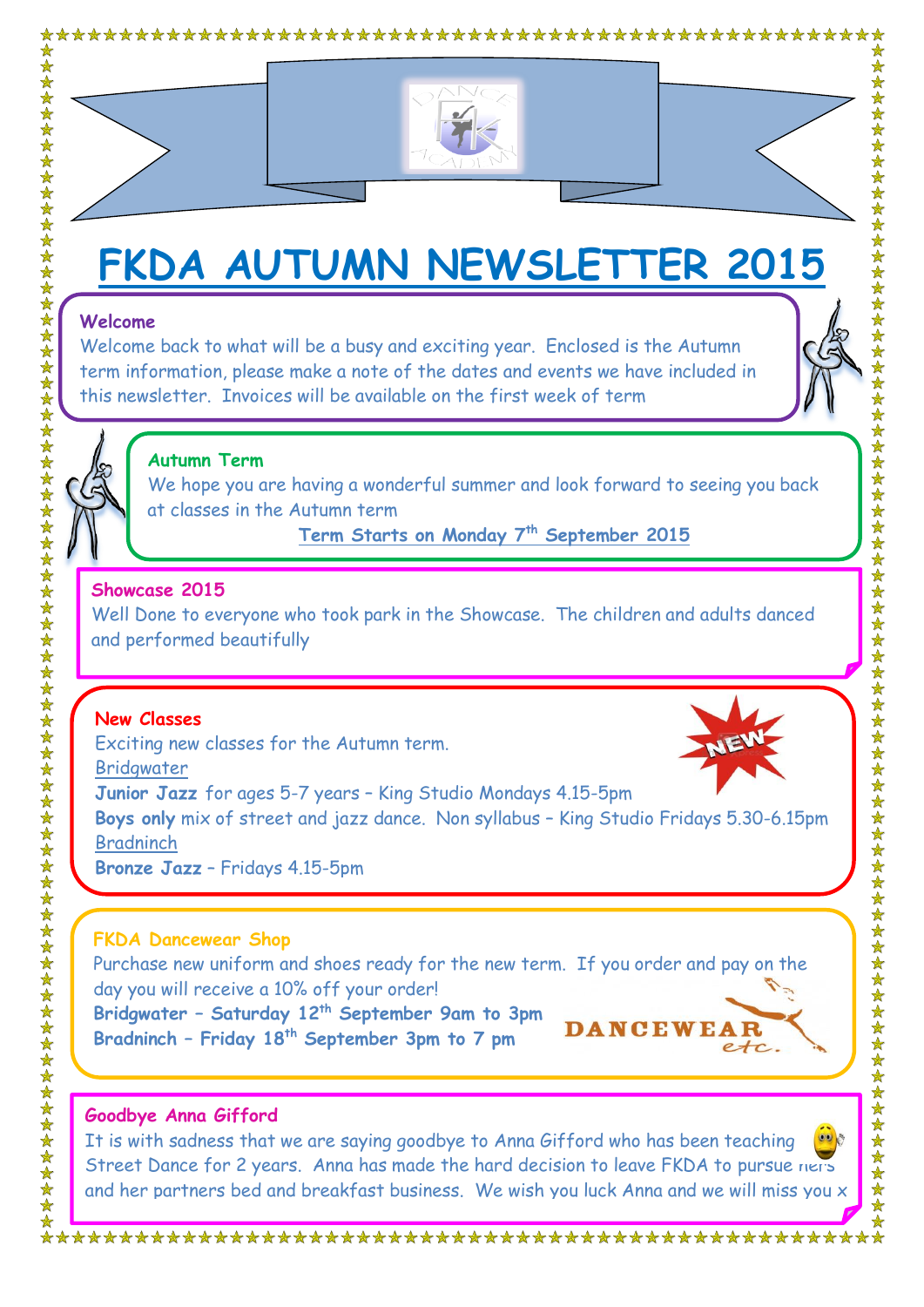



# **FKDA AUTUMN NEWSLETTER 2015**

#### **Welcome**

Welcome back to what will be a busy and exciting year. Enclosed is the Autumn term information, please make a note of the dates and events we have included in this newsletter. Invoices will be available on the first week of term





#### **Autumn Term**

We hope you are having a wonderful summer and look forward to seeing you back at classes in the Autumn term

**Term Starts on Monday 7th September 2015**

#### **Showcase 2015**

Well Done to everyone who took park in the Showcase. The children and adults danced and performed beautifully

## **New Classes**

Exciting new classes for the Autumn term. Bridgwater **Junior Jazz** for ages 5-7 years – King Studio Mondays 4.15-5pm **Boys only** mix of street and jazz dance. Non syllabus – King Studio Fridays 5.30-6.15pm Bradninch **Bronze Jazz** – Fridays 4.15-5pm

#### **FKDA Dancewear Shop**

Purchase new uniform and shoes ready for the new term. If you order and pay on the day you will receive a 10% off your order!

**Bridgwater – Saturday 12th September 9am to 3pm Bradninch – Friday 18th September 3pm to 7 pm**



## **Goodbye Anna Gifford**

It is with sadness that we are saying goodbye to Anna Gifford who has been teaching Street Dance for 2 years. Anna has made the hard decision to leave FKDA to pursue hers and her partners bed and breakfast business. We wish you luck Anna and we will miss you x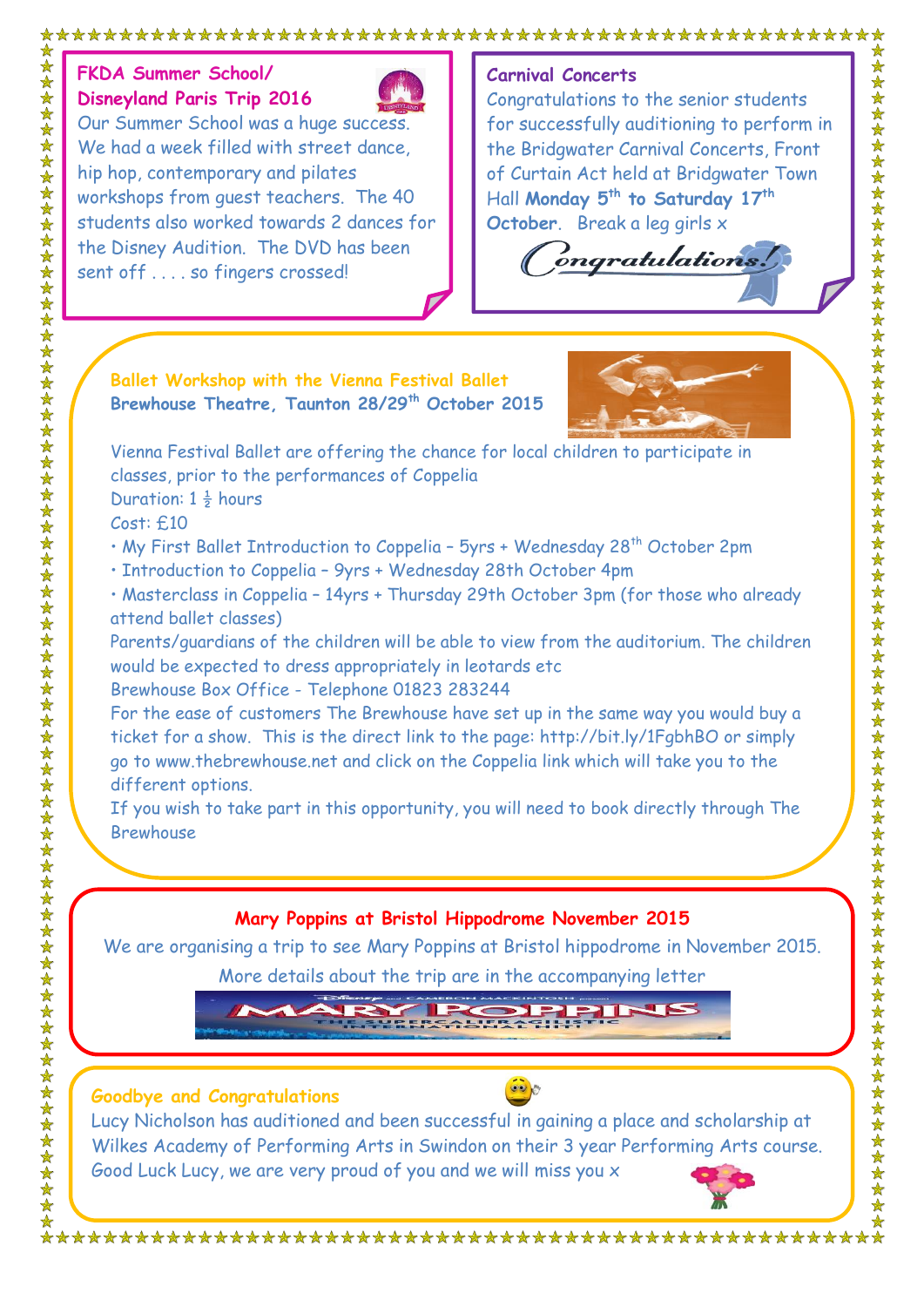# **FKDA Summer School/ Disneyland Paris Trip 2016**



Our Summer School was a huge success. We had a week filled with street dance hip hop, contemporary and pilates workshops from guest teachers. The 40 students also worked towards 2 dances for the Disney Audition. The DVD has been sent off . . . . so fingers crossed!

#### **Carnival Concerts**

Congratulations to the senior students for successfully auditioning to perform in the Bridgwater Carnival Concerts, Front of Curtain Act held at Bridgwater Town Hall **Monday 5th to Saturday 17th October**. Break a leg girls x

ongratulations.

#### **Ballet Workshop with the Vienna Festival Ballet Brewhouse Theatre, Taunton 28/29th October 2015**



Vienna Festival Ballet are offering the chance for local children to participate in classes, prior to the performances of Coppelia Duration:  $1\frac{1}{2}$  hours

Cost: £10

• My First Ballet Introduction to Coppelia - 5yrs + Wednesday 28<sup>th</sup> October 2pm

• Introduction to Coppelia – 9yrs + Wednesday 28th October 4pm

• Masterclass in Coppelia – 14yrs + Thursday 29th October 3pm (for those who already attend ballet classes)

Parents/guardians of the children will be able to view from the auditorium. The children would be expected to dress appropriately in leotards etc

Brewhouse Box Office - Telephone 01823 283244

For the ease of customers The Brewhouse have set up in the same way you would buy a ticket for a show. This is the direct link to the page:<http://bit.ly/1FgbhBO> or simply go to [www.thebrewhouse.net](http://www.thebrewhouse.net/) and click on the Coppelia link which will take you to the different options.

If you wish to take part in this opportunity, you will need to book directly through The Brewhouse

# **Mary Poppins at Bristol Hippodrome November 2015**

We are organising a trip to see Mary Poppins at Bristol hippodrome in November 2015.

More details about the trip are in the accompanying letter



#### **Goodbye and Congratulations**



Lucy Nicholson has auditioned and been successful in gaining a place and scholarship at Wilkes Academy of Performing Arts in Swindon on their 3 year Performing Arts course. Good Luck Lucy, we are very proud of you and we will miss you x